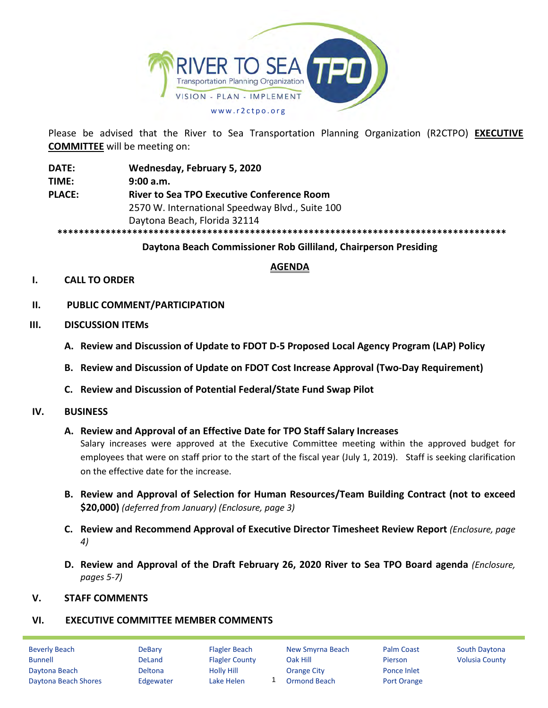

Please be advised that the River to Sea Transportation Planning Organization (R2CTPO) **EXECUTIVE COMMITTEE** will be meeting on:

**DATE: Wednesday, February 5, 2020 TIME: 9:00 a.m. PLACE: River to Sea TPO Executive Conference Room** 2570 W. International Speedway Blvd., Suite 100 Daytona Beach, Florida 32114 **\*\*\*\*\*\*\*\*\*\*\*\*\*\*\*\*\*\*\*\*\*\*\*\*\*\*\*\*\*\*\*\*\*\*\*\*\*\*\*\*\*\*\*\*\*\*\*\*\*\*\*\*\*\*\*\*\*\*\*\*\*\*\*\*\*\*\*\*\*\*\*\*\*\*\*\*\*\*\*\*\*\*\*\***

# **Daytona Beach Commissioner Rob Gilliland, Chairperson Presiding**

# **AGENDA**

# **I. CALL TO ORDER**

- **II. PUBLIC COMMENT/PARTICIPATION**
- **III. DISCUSSION ITEMs**
	- **A. Review and Discussion of Update to FDOT D-5 Proposed Local Agency Program (LAP) Policy**
	- **B. Review and Discussion of Update on FDOT Cost Increase Approval (Two-Day Requirement)**
	- **C. Review and Discussion of Potential Federal/State Fund Swap Pilot**

### **IV. BUSINESS**

### **A. Review and Approval of an Effective Date for TPO Staff Salary Increases**

Salary increases were approved at the Executive Committee meeting within the approved budget for employees that were on staff prior to the start of the fiscal year (July 1, 2019). Staff is seeking clarification on the effective date for the increase.

- **B. Review and Approval of Selection for Human Resources/Team Building Contract (not to exceed \$20,000)** *(deferred from January) (Enclosure, page 3)*
- **C. Review and Recommend Approval of Executive Director Timesheet Review Report** *(Enclosure, page 4)*
- **D. Review and Approval of the Draft February 26, 2020 River to Sea TPO Board agenda** *(Enclosure, pages 5-7)*

### **V. STAFF COMMENTS**

### **VI. EXECUTIVE COMMITTEE MEMBER COMMENTS**

| <b>Beverly Beach</b> | <b>DeBary</b>  | <b>Flagler Beach</b>  | New Smyrna Beach    | <b>Palm Coast</b>  | <b>South Daytona</b>  |
|----------------------|----------------|-----------------------|---------------------|--------------------|-----------------------|
| <b>Bunnell</b>       | <b>DeLand</b>  | <b>Flagler County</b> | Oak Hill            | <b>Pierson</b>     | <b>Volusia County</b> |
| Daytona Beach        | <b>Deltona</b> | <b>Holly Hill</b>     | Orange City         | Ponce Inlet        |                       |
| Daytona Beach Shores | Edgewater      | Lake Helen            | <b>Ormond Beach</b> | <b>Port Orange</b> |                       |
|                      |                |                       |                     |                    |                       |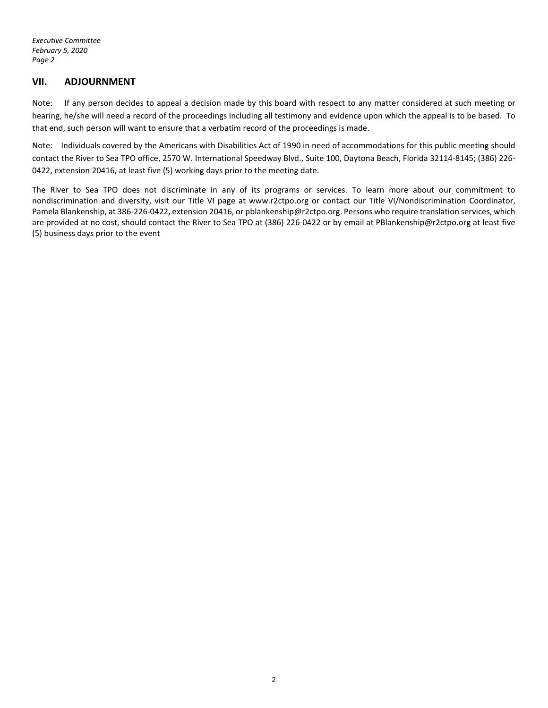*Executive Committee February 5, 2020 Page 2*

### **VII. ADJOURNMENT**

Note: If any person decides to appeal a decision made by this board with respect to any matter considered at such meeting or hearing, he/she will need a record of the proceedings including all testimony and evidence upon which the appeal is to be based. To that end, such person will want to ensure that a verbatim record of the proceedings is made.

Note: Individuals covered by the Americans with Disabilities Act of 1990 in need of accommodations for this public meeting should contact the River to Sea TPO office, 2570 W. International Speedway Blvd., Suite 100, Daytona Beach, Florida 32114-8145; (386) 226- 0422, extension 20416, at least five (5) working days prior to the meeting date.

The River to Sea TPO does not discriminate in any of its programs or services. To learn more about our commitment to nondiscrimination and diversity, visit our Title VI page at www.r2ctpo.org or contact our Title VI/Nondiscrimination Coordinator, Pamela Blankenship, at 386-226-0422, extension 20416, or pblankenship@r2ctpo.org. Persons who require translation services, which are provided at no cost, should contact the River to Sea TPO at (386) 226-0422 or by email at PBlankenship@r2ctpo.org at least five (5) business days prior to the event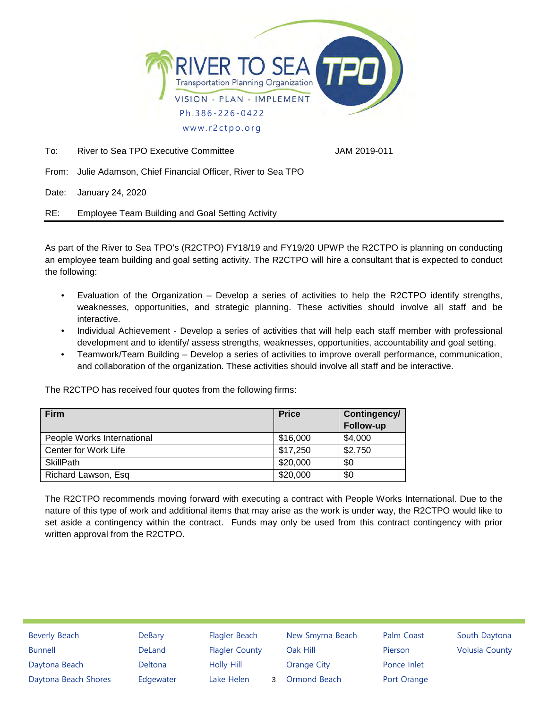

To: River to Sea TPO Executive Committee **Fig. 10.11 Sea Accord 12019-011** 

From: Julie Adamson, Chief Financial Officer, River to Sea TPO

Date: January 24, 2020

RE: Employee Team Building and Goal Setting Activity

As part of the River to Sea TPO's (R2CTPO) FY18/19 and FY19/20 UPWP the R2CTPO is planning on conducting an employee team building and goal setting activity. The R2CTPO will hire a consultant that is expected to conduct the following:

- Evaluation of the Organization Develop a series of activities to help the R2CTPO identify strengths, weaknesses, opportunities, and strategic planning. These activities should involve all staff and be interactive.
- Individual Achievement Develop a series of activities that will help each staff member with professional development and to identify/ assess strengths, weaknesses, opportunities, accountability and goal setting.
- Teamwork/Team Building Develop a series of activities to improve overall performance, communication, and collaboration of the organization. These activities should involve all staff and be interactive.

The R2CTPO has received four quotes from the following firms:

| <b>Firm</b>                | <b>Price</b> | Contingency/<br>Follow-up |
|----------------------------|--------------|---------------------------|
| People Works International | \$16,000     | \$4,000                   |
| Center for Work Life       | \$17,250     | \$2,750                   |
| <b>SkillPath</b>           | \$20,000     | \$0                       |
| Richard Lawson, Esq        | \$20,000     | \$0                       |

The R2CTPO recommends moving forward with executing a contract with People Works International. Due to the nature of this type of work and additional items that may arise as the work is under way, the R2CTPO would like to set aside a contingency within the contract. Funds may only be used from this contract contingency with prior written approval from the R2CTPO.

| <b>Beverly Beach</b> | <b>DeBary</b> | Flagler Beach         | New Smyrna Beach | Palm Coast  | South Daytona         |
|----------------------|---------------|-----------------------|------------------|-------------|-----------------------|
| <b>Bunnell</b>       | DeLand        | <b>Flagler County</b> | Oak Hill         | Pierson     | <b>Volusia County</b> |
| Daytona Beach        | Deltona       | Holly Hill            | Orange City      | Ponce Inlet |                       |
| Daytona Beach Shores | Edgewater     | Lake Helen            | Ormond Beach     | Port Orange |                       |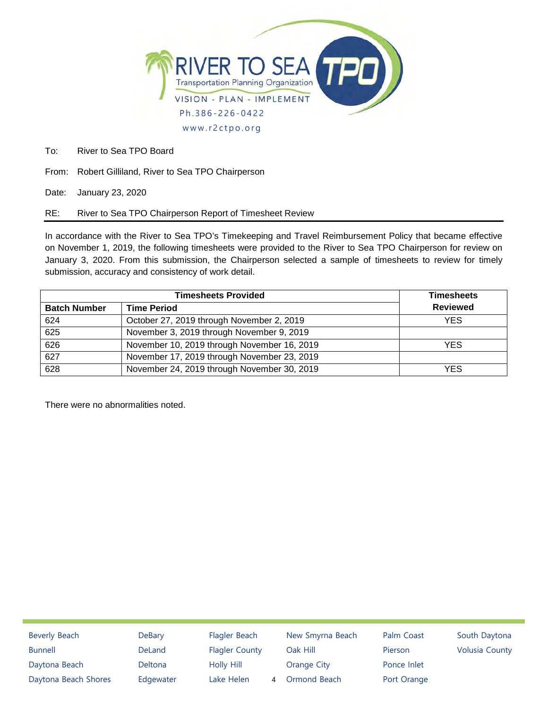

To: River to Sea TPO Board

From: Robert Gilliland, River to Sea TPO Chairperson

Date: January 23, 2020

RE: River to Sea TPO Chairperson Report of Timesheet Review

In accordance with the River to Sea TPO's Timekeeping and Travel Reimbursement Policy that became effective on November 1, 2019, the following timesheets were provided to the River to Sea TPO Chairperson for review on January 3, 2020. From this submission, the Chairperson selected a sample of timesheets to review for timely submission, accuracy and consistency of work detail.

|                     | <b>Timesheets</b>                           |                 |
|---------------------|---------------------------------------------|-----------------|
| <b>Batch Number</b> | <b>Time Period</b>                          | <b>Reviewed</b> |
| 624                 | October 27, 2019 through November 2, 2019   | <b>YES</b>      |
| 625                 | November 3, 2019 through November 9, 2019   |                 |
| 626                 | November 10, 2019 through November 16, 2019 | YES             |
| 627                 | November 17, 2019 through November 23, 2019 |                 |
| 628                 | November 24, 2019 through November 30, 2019 | YES             |

There were no abnormalities noted.

Beverly Beach DeBary Flagler Beach New Smyrna Beach Palm Coast South Daytona Bunnell **Sound Deland** Flagler County Oak Hill **Pierson** Volusia County Daytona Beach Deltona Holly Hill Orange City Ponce Inlet Daytona Beach Shores Edgewater Lake Helen 4 Ormond Beach Port Orange 4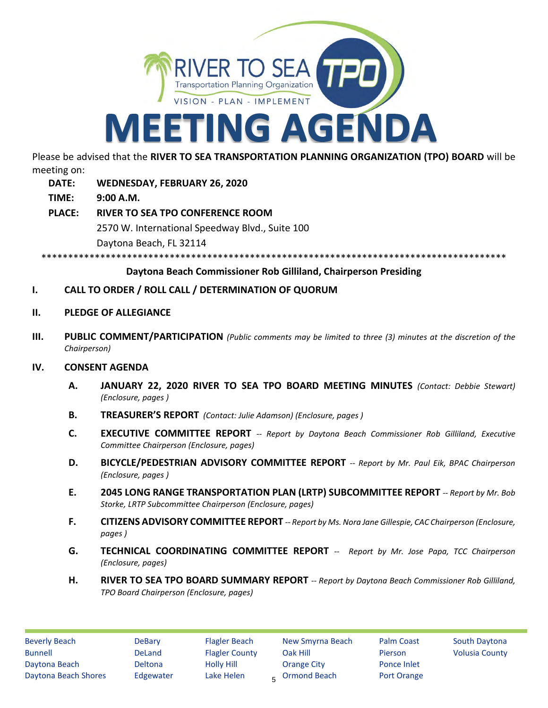

Please be advised that the **RIVER TO SEA TRANSPORTATION PLANNING ORGANIZATION (TPO) BOARD** will be meeting on:

- **DATE: WEDNESDAY, FEBRUARY 26, 2020**
- **TIME: 9:00 A.M.**
- **PLACE: RIVER TO SEA TPO CONFERENCE ROOM** 2570 W. International Speedway Blvd., Suite 100 Daytona Beach, FL 32114

\*\*\*\*\*\*\*\*\*\*\*\*\*\*\*\*\*\*\*\*\*\*\*\*\*\*\*\*\*\*\*\*\*\*\*\*\*\*\*\*\*\*\*\*\*\*\*\*\*\*\*\*\*\*\*\*\*\*\*\*\*\*\*\*\*\*\*\*\*\*\*\*\*\*\*\*\*\*\*\*\*\*\*\*\*\*\*

## **Daytona Beach Commissioner Rob Gilliland, Chairperson Presiding**

- **I. CALL TO ORDER / ROLL CALL / DETERMINATION OF QUORUM**
- **II. PLEDGE OF ALLEGIANCE**
- **III. PUBLIC COMMENT/PARTICIPATION** *(Public comments may be limited to three (3) minutes at the discretion of the Chairperson)*

### **IV. CONSENT AGENDA**

- **A. JANUARY 22, 2020 RIVER TO SEA TPO BOARD MEETING MINUTES** *(Contact: Debbie Stewart) (Enclosure, pages )*
- **B. TREASURER'S REPORT** *(Contact: Julie Adamson) (Enclosure, pages )*
- **C. EXECUTIVE COMMITTEE REPORT** *-- Report by Daytona Beach Commissioner Rob Gilliland, Executive Committee Chairperson (Enclosure, pages)*
- **D. BICYCLE/PEDESTRIAN ADVISORY COMMITTEE REPORT** *-- Report by Mr. Paul Eik, BPAC Chairperson (Enclosure, pages )*
- **E. 2045 LONG RANGE TRANSPORTATION PLAN (LRTP) SUBCOMMITTEE REPORT** *-- Report by Mr. Bob Storke, LRTP Subcommittee Chairperson (Enclosure, pages)*
- **F. CITIZENS ADVISORY COMMITTEE REPORT** *-- Report by Ms. Nora Jane Gillespie, CAC Chairperson (Enclosure, pages )*
- **G. TECHNICAL COORDINATING COMMITTEE REPORT** *-- Report by Mr. Jose Papa, TCC Chairperson (Enclosure, pages)*
- **H. RIVER TO SEA TPO BOARD SUMMARY REPORT** *-- Report by Daytona Beach Commissioner Rob Gilliland, TPO Board Chairperson (Enclosure, pages)*

<sub>5</sub> Ormond Beach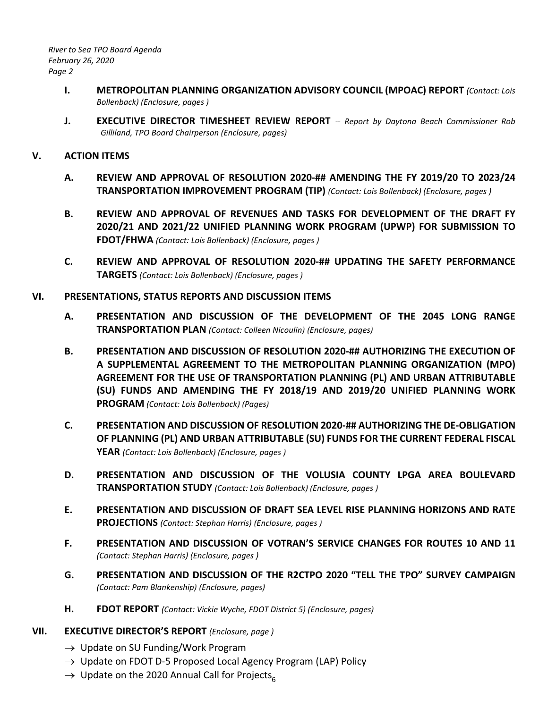*River to Sea TPO Board Agenda February 26, 2020 Page 2*

- **I. METROPOLITAN PLANNING ORGANIZATION ADVISORY COUNCIL (MPOAC) REPORT** *(Contact: Lois Bollenback) (Enclosure, pages )*
- **J. EXECUTIVE DIRECTOR TIMESHEET REVIEW REPORT** *-- Report by Daytona Beach Commissioner Rob Gilliland, TPO Board Chairperson (Enclosure, pages)*

# **V. ACTION ITEMS**

- **A. REVIEW AND APPROVAL OF RESOLUTION 2020-## AMENDING THE FY 2019/20 TO 2023/24 TRANSPORTATION IMPROVEMENT PROGRAM (TIP)** *(Contact: Lois Bollenback) (Enclosure, pages )*
- **B. REVIEW AND APPROVAL OF REVENUES AND TASKS FOR DEVELOPMENT OF THE DRAFT FY 2020/21 AND 2021/22 UNIFIED PLANNING WORK PROGRAM (UPWP) FOR SUBMISSION TO FDOT/FHWA** *(Contact: Lois Bollenback) (Enclosure, pages )*
- **C. REVIEW AND APPROVAL OF RESOLUTION 2020-## UPDATING THE SAFETY PERFORMANCE TARGETS** *(Contact: Lois Bollenback) (Enclosure, pages )*

## **VI. PRESENTATIONS, STATUS REPORTS AND DISCUSSION ITEMS**

- **A. PRESENTATION AND DISCUSSION OF THE DEVELOPMENT OF THE 2045 LONG RANGE TRANSPORTATION PLAN** *(Contact: Colleen Nicoulin) (Enclosure, pages)*
- **B. PRESENTATION AND DISCUSSION OF RESOLUTION 2020-## AUTHORIZING THE EXECUTION OF A SUPPLEMENTAL AGREEMENT TO THE METROPOLITAN PLANNING ORGANIZATION (MPO) AGREEMENT FOR THE USE OF TRANSPORTATION PLANNING (PL) AND URBAN ATTRIBUTABLE (SU) FUNDS AND AMENDING THE FY 2018/19 AND 2019/20 UNIFIED PLANNING WORK PROGRAM** *(Contact: Lois Bollenback) (Pages)*
- **C. PRESENTATION AND DISCUSSION OF RESOLUTION 2020-## AUTHORIZING THE DE-OBLIGATION OF PLANNING (PL) AND URBAN ATTRIBUTABLE (SU) FUNDS FOR THE CURRENT FEDERAL FISCAL YEAR** *(Contact: Lois Bollenback) (Enclosure, pages )*
- **D. PRESENTATION AND DISCUSSION OF THE VOLUSIA COUNTY LPGA AREA BOULEVARD TRANSPORTATION STUDY** *(Contact: Lois Bollenback) (Enclosure, pages )*
- **E. PRESENTATION AND DISCUSSION OF DRAFT SEA LEVEL RISE PLANNING HORIZONS AND RATE PROJECTIONS** *(Contact: Stephan Harris) (Enclosure, pages )*
- **F. PRESENTATION AND DISCUSSION OF VOTRAN'S SERVICE CHANGES FOR ROUTES 10 AND 11** *(Contact: Stephan Harris) (Enclosure, pages )*
- **G. PRESENTATION AND DISCUSSION OF THE R2CTPO 2020 "TELL THE TPO" SURVEY CAMPAIGN** *(Contact: Pam Blankenship) (Enclosure, pages)*
- **H. FDOT REPORT** *(Contact: Vickie Wyche, FDOT District 5) (Enclosure, pages)*

## **VII. EXECUTIVE DIRECTOR'S REPORT** *(Enclosure, page )*

- $\rightarrow$  Update on SU Funding/Work Program
- $\rightarrow$  Update on FDOT D-5 Proposed Local Agency Program (LAP) Policy
- $\rightarrow$  Update on the 2020 Annual Call for Projects<sub>6</sub>